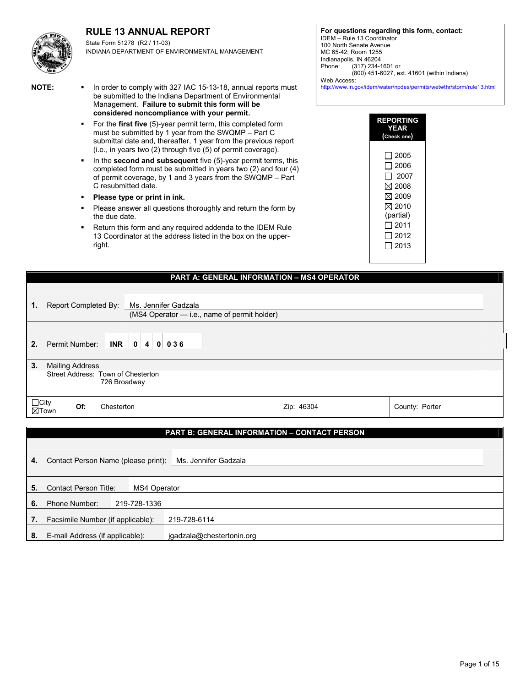# **RULE 13 ANNUAL REPORT**



State Form 51278 (R2 / 11-03) INDIANA DEPARTMENT OF ENVIRONMENTAL MANAGEMENT

**NOTE:** 

In order to comply with 327 IAC 15-13-18, annual reports must be submitted to the Indiana Department of Environmental Management. **Failure to submit this form will be considered noncompliance with your permit.**

- For the **first five** (5)-year permit term, this completed form must be submitted by 1 year from the SWQMP – Part C submittal date and, thereafter, 1 year from the previous report (i.e., in years two (2) through five (5) of permit coverage).
- **IF** In the **second and subsequent** five (5)-year permit terms, this completed form must be submitted in years two (2) and four (4) of permit coverage, by 1 and 3 years from the SWQMP – Part C resubmitted date.
- **Please type or print in ink.**
- Please answer all questions thoroughly and return the form by the due date.
- Return this form and any required addenda to the IDEM Rule 13 Coordinator at the address listed in the box on the upperright.

**For questions regarding this form, contact:**  IDEM – Rule 13 Coordinator 100 North Senate Avenue MC 65-42; Room 1255 Indianapolis, IN 46204<br>Phone: (317) 234-1  $(317)$  234-1601 or (800) 451-6027, ext. 41601 (within Indiana) Web Access:<br>http://www.in.gov

/idem/water/npdes/permits/wetwthr/storm/rule13.html



| <b>PART A: GENERAL INFORMATION - MS4 OPERATOR</b> |                                                                                              |            |                              |  |            |                |  |  |  |
|---------------------------------------------------|----------------------------------------------------------------------------------------------|------------|------------------------------|--|------------|----------------|--|--|--|
| 1.                                                | Report Completed By:<br>Ms. Jennifer Gadzala<br>(MS4 Operator - i.e., name of permit holder) |            |                              |  |            |                |  |  |  |
| 2.                                                |                                                                                              |            | Permit Number: INR 0 4 0 036 |  |            |                |  |  |  |
| 3.                                                | <b>Mailing Address</b><br>Street Address: Town of Chesterton<br>726 Broadway                 |            |                              |  |            |                |  |  |  |
| $\Box$ City                                       | Of:<br>$\boxtimes$ Town                                                                      | Chesterton |                              |  | Zip: 46304 | County: Porter |  |  |  |

| <b>PART B: GENERAL INFORMATION - CONTACT PERSON</b>            |                                                     |                           |  |  |  |  |  |  |  |
|----------------------------------------------------------------|-----------------------------------------------------|---------------------------|--|--|--|--|--|--|--|
|                                                                |                                                     |                           |  |  |  |  |  |  |  |
| Contact Person Name (please print): Ms. Jennifer Gadzala<br>4. |                                                     |                           |  |  |  |  |  |  |  |
|                                                                |                                                     |                           |  |  |  |  |  |  |  |
| 5.                                                             | <b>Contact Person Title:</b><br><b>MS4 Operator</b> |                           |  |  |  |  |  |  |  |
| 6.                                                             | Phone Number:<br>219-728-1336                       |                           |  |  |  |  |  |  |  |
| 7.                                                             | Facsimile Number (if applicable):                   | 219-728-6114              |  |  |  |  |  |  |  |
| 8.                                                             | E-mail Address (if applicable):                     | jgadzala@chestertonin.org |  |  |  |  |  |  |  |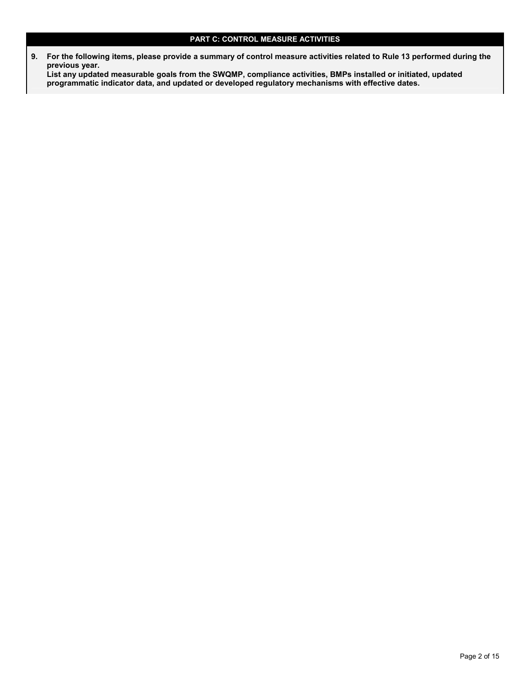## **PART C: CONTROL MEASURE ACTIVITIES**

**9. For the following items, please provide a summary of control measure activities related to Rule 13 performed during the previous year.** 

**List any updated measurable goals from the SWQMP, compliance activities, BMPs installed or initiated, updated programmatic indicator data, and updated or developed regulatory mechanisms with effective dates.**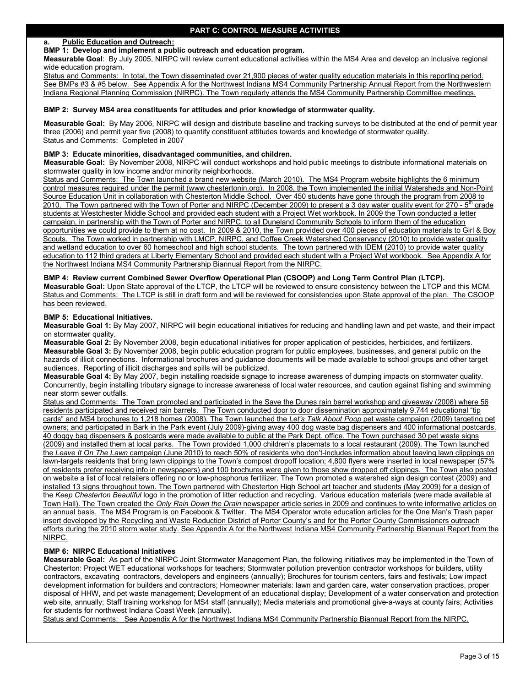## **PART C: CONTROL MEASURE ACTIVITIES**

## **a. Public Education and Outreach:**

**BMP 1: Develop and implement a public outreach and education program.** 

**Measurable Goal**: By July 2005, NIRPC will review current educational activities within the MS4 Area and develop an inclusive regional wide education program.

Status and Comments: In total, the Town disseminated over 21,900 pieces of water quality education materials in this reporting period. See BMPs #3 & #5 below. See Appendix A for the Northwest Indiana MS4 Community Partnership Annual Report from the Northwestern Indiana Regional Planning Commission (NIRPC). The Town regularly attends the MS4 Community Partnership Committee meetings.

## **BMP 2: Survey MS4 area constituents for attitudes and prior knowledge of stormwater quality.**

**Measurable Goal:** By May 2006, NIRPC will design and distribute baseline and tracking surveys to be distributed at the end of permit year three (2006) and permit year five (2008) to quantify constituent attitudes towards and knowledge of stormwater quality. Status and Comments: Completed in 2007

## **BMP 3: Educate minorities, disadvantaged communities, and children.**

**Measurable Goal:** By November 2008, NIRPC will conduct workshops and hold public meetings to distribute informational materials on stormwater quality in low income and/or minority neighborhoods.

Status and Comments: The Town launched a brand new website (March 2010). The MS4 Program website highlights the 6 minimum control measures required under the permit (www.chestertonin.org). In 2008, the Town implemented the initial Watersheds and Non-Point Source Education Unit in collaboration with Chesterton Middle School. Over 450 students have gone through the program from 2008 to 2010. The Town partnered with the Town of Porter and NIRPC (December 2009) to present a 3 day water quality event for 270 - 5<sup>th</sup> grade students at Westchester Middle School and provided each student with a Project Wet workbook. In 2009 the Town conducted a letter campaign, in partnership with the Town of Porter and NIRPC, to all Duneland Community Schools to inform them of the education opportunities we could provide to them at no cost. In 2009 & 2010, the Town provided over 400 pieces of education materials to Girl & Boy Scouts. The Town worked in partnership with LMCP, NIRPC, and Coffee Creek Watershed Conservancy (2010) to provide water quality and wetland education to over 60 homeschool and high school students. The town partnered with IDEM (2010) to provide water quality education to 112 third graders at Liberty Elementary School and provided each student with a Project Wet workbook. See Appendix A for the Northwest Indiana MS4 Community Partnership Biannual Report from the NIRPC.

**BMP 4: Review current Combined Sewer Overflow Operational Plan (CSOOP) and Long Term Control Plan (LTCP). Measurable Goal:** Upon State approval of the LTCP, the LTCP will be reviewed to ensure consistency between the LTCP and this MCM. Status and Comments: The LTCP is still in draft form and will be reviewed for consistencies upon State approval of the plan. The CSOOP has been reviewed.

## **BMP 5: Educational Initiatives.**

**Measurable Goal 1:** By May 2007, NIRPC will begin educational initiatives for reducing and handling lawn and pet waste, and their impact on stormwater quality.

**Measurable Goal 2:** By November 2008, begin educational initiatives for proper application of pesticides, herbicides, and fertilizers. **Measurable Goal 3:** By November 2008, begin public education program for public employees, businesses, and general public on the hazards of illicit connections. Informational brochures and guidance documents will be made available to school groups and other target audiences. Reporting of illicit discharges and spills will be publicized.

**Measurable Goal 4:** By May 2007, begin installing roadside signage to increase awareness of dumping impacts on stormwater quality. Concurrently, begin installing tributary signage to increase awareness of local water resources, and caution against fishing and swimming near storm sewer outfalls.

Status and Comments: The Town promoted and participated in the Save the Dunes rain barrel workshop and giveaway (2008) where 56 residents participated and received rain barrels. The Town conducted door to door dissemination approximately 9,744 educational "tip cards" and MS4 brochures to 1,218 homes (2008). The Town launched the *Let's Talk About Poop* pet waste campaign (2009) targeting pet owners; and participated in Bark in the Park event (July 2009)-giving away 400 dog waste bag dispensers and 400 informational postcards. 40 doggy bag dispensers & postcards were made available to public at the Park Dept. office. The Town purchased 30 pet waste signs (2009) and installed them at local parks. The Town provided 1,000 children's placemats to a local restaurant (2009). The Town launched the *Leave It On The Lawn* campaign (June 2010) to reach 50% of residents who don't-includes information about leaving lawn clippings on lawn-targets residents that bring lawn clippings to the Town's compost dropoff location; 4,800 flyers were inserted in local newspaper (57% of residents prefer receiving info in newspapers) and 100 brochures were given to those show dropped off clippings. The Town also posted on website a list of local retailers offering no or low-phosphorus fertilizer. The Town promoted a watershed sign design contest (2009) and installed 13 signs throughout town. The Town partnered with Chesterton High School art teacher and students (May 2009) for a design of the *Keep Chesterton Beautiful* logo in the promotion of litter reduction and recycling. Various education materials (were made available at Town Hall). The Town created the *Only Rain Down the Drain* newspaper article series in 2009 and continues to write informative articles on an annual basis. The MS4 Program is on Facebook & Twitter. The MS4 Operator wrote education articles for the One Man's Trash paper insert developed by the Recycling and Waste Reduction District of Porter County's and for the Porter County Commissioners outreach efforts during the 2010 storm water study. See Appendix A for the Northwest Indiana MS4 Community Partnership Biannual Report from the NIRPC.

## **BMP 6: NIRPC Educational Initiatives**

**Measurable Goal:** As part of the NIRPC Joint Stormwater Management Plan, the following initiatives may be implemented in the Town of Chesterton: Project WET educational workshops for teachers; Stormwater pollution prevention contractor workshops for builders, utility contractors, excavating contractors, developers and engineers (annually); Brochures for tourism centers, fairs and festivals; Low impact development information for builders and contractors; Homeowner materials: lawn and garden care, water conservation practices, proper disposal of HHW, and pet waste management; Development of an educational display; Development of a water conservation and protection web site, annually; Staff training workshop for MS4 staff (annually); Media materials and promotional give-a-ways at county fairs; Activities for students for northwest Indiana Coast Week (annually).

Status and Comments: See Appendix A for the Northwest Indiana MS4 Community Partnership Biannual Report from the NIRPC.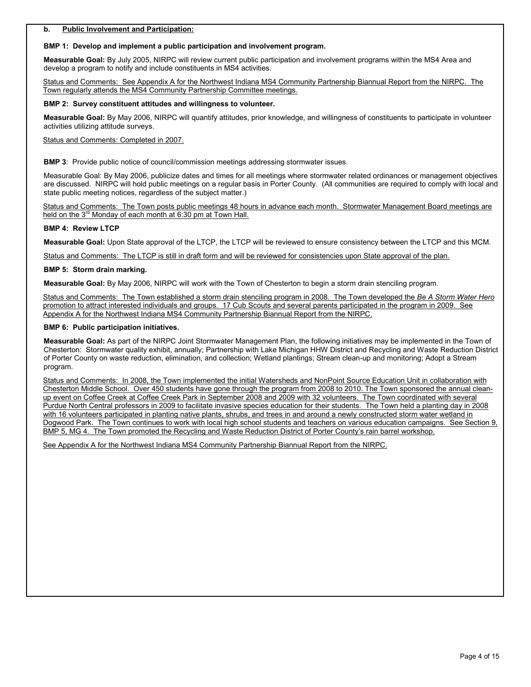## **b. Public Involvement and Participation:**

#### **BMP 1: Develop and implement a public participation and involvement program.**

**Measurable Goal:** By July 2005, NIRPC will review current public participation and involvement programs within the MS4 Area and develop a program to notify and include constituents in MS4 activities.

Status and Comments: See Appendix A for the Northwest Indiana MS4 Community Partnership Biannual Report from the NIRPC. The Town regularly attends the MS4 Community Partnership Committee meetings.

#### **BMP 2: Survey constituent attitudes and willingness to volunteer.**

**Measurable Goal:** By May 2006, NIRPC will quantify attitudes, prior knowledge, and willingness of constituents to participate in volunteer activities utilizing attitude surveys.

Status and Comments: Completed in 2007.

**BMP 3**: Provide public notice of council/commission meetings addressing stormwater issues.

Measurable Goal: By May 2006, publicize dates and times for all meetings where stormwater related ordinances or management objectives are discussed. NIRPC will hold public meetings on a regular basis in Porter County. (All communities are required to comply with local and state public meeting notices, regardless of the subject matter.)

Status and Comments: The Town posts public meetings 48 hours in advance each month. Stormwater Management Board meetings are held on the 3<sup>rd</sup> Monday of each month at 6:30 pm at Town Hall.

## **BMP 4: Review LTCP**

**Measurable Goal:** Upon State approval of the LTCP, the LTCP will be reviewed to ensure consistency between the LTCP and this MCM.

Status and Comments: The LTCP is still in draft form and will be reviewed for consistencies upon State approval of the plan.

## **BMP 5: Storm drain marking.**

**Measurable Goal:** By May 2006, NIRPC will work with the Town of Chesterton to begin a storm drain stenciling program.

Status and Comments: The Town established a storm drain stenciling program in 2008. The Town developed the *Be A Storm Water Hero* promotion to attract interested individuals and groups. 17 Cub Scouts and several parents participated in the program in 2009. See Appendix A for the Northwest Indiana MS4 Community Partnership Biannual Report from the NIRPC.

## **BMP 6: Public participation initiatives.**

**Measurable Goal:** As part of the NIRPC Joint Stormwater Management Plan, the following initiatives may be implemented in the Town of Chesterton: Stormwater quality exhibit, annually; Partnership with Lake Michigan HHW District and Recycling and Waste Reduction District of Porter County on waste reduction, elimination, and collection; Wetland plantings; Stream clean-up and monitoring; Adopt a Stream program.

Status and Comments: In 2008, the Town implemented the initial Watersheds and NonPoint Source Education Unit in collaboration with Chesterton Middle School. Over 450 students have gone through the program from 2008 to 2010. The Town sponsored the annual cleanup event on Coffee Creek at Coffee Creek Park in September 2008 and 2009 with 32 volunteers. The Town coordinated with several Purdue North Central professors in 2009 to facilitate invasive species education for their students. The Town held a planting day in 2008 with 16 volunteers participated in planting native plants, shrubs, and trees in and around a newly constructed storm water wetland in Dogwood Park. The Town continues to work with local high school students and teachers on various education campaigns. See Section 9, BMP 5, MG 4. The Town promoted the Recycling and Waste Reduction District of Porter County's rain barrel workshop.

See Appendix A for the Northwest Indiana MS4 Community Partnership Biannual Report from the NIRPC.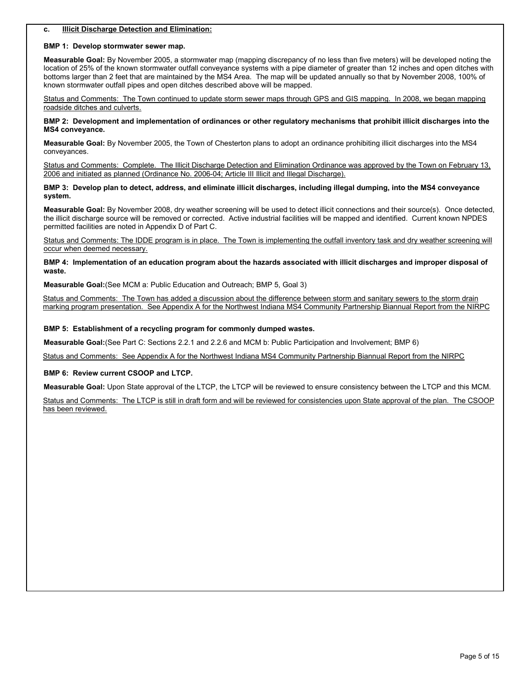## **c. Illicit Discharge Detection and Elimination:**

## **BMP 1: Develop stormwater sewer map.**

**Measurable Goal:** By November 2005, a stormwater map (mapping discrepancy of no less than five meters) will be developed noting the location of 25% of the known stormwater outfall conveyance systems with a pipe diameter of greater than 12 inches and open ditches with bottoms larger than 2 feet that are maintained by the MS4 Area. The map will be updated annually so that by November 2008, 100% of known stormwater outfall pipes and open ditches described above will be mapped.

Status and Comments: The Town continued to update storm sewer maps through GPS and GIS mapping. In 2008, we began mapping roadside ditches and culverts.

**BMP 2: Development and implementation of ordinances or other regulatory mechanisms that prohibit illicit discharges into the MS4 conveyance.** 

**Measurable Goal:** By November 2005, the Town of Chesterton plans to adopt an ordinance prohibiting illicit discharges into the MS4 conveyances.

Status and Comments: Complete. The Illicit Discharge Detection and Elimination Ordinance was approved by the Town on February 13, 2006 and initiated as planned (Ordinance No. 2006-04; Article III Illicit and Illegal Discharge).

#### **BMP 3: Develop plan to detect, address, and eliminate illicit discharges, including illegal dumping, into the MS4 conveyance system.**

**Measurable Goal:** By November 2008, dry weather screening will be used to detect illicit connections and their source(s). Once detected, the illicit discharge source will be removed or corrected. Active industrial facilities will be mapped and identified. Current known NPDES permitted facilities are noted in Appendix D of Part C.

Status and Comments: The IDDE program is in place. The Town is implementing the outfall inventory task and dry weather screening will occur when deemed necessary.

**BMP 4: Implementation of an education program about the hazards associated with illicit discharges and improper disposal of waste.** 

**Measurable Goal:**(See MCM a: Public Education and Outreach; BMP 5, Goal 3)

Status and Comments: The Town has added a discussion about the difference between storm and sanitary sewers to the storm drain marking program presentation. See Appendix A for the Northwest Indiana MS4 Community Partnership Biannual Report from the NIRPC

**BMP 5: Establishment of a recycling program for commonly dumped wastes.** 

**Measurable Goal:**(See Part C: Sections 2.2.1 and 2.2.6 and MCM b: Public Participation and Involvement; BMP 6)

Status and Comments: See Appendix A for the Northwest Indiana MS4 Community Partnership Biannual Report from the NIRPC

## **BMP 6: Review current CSOOP and LTCP.**

**Measurable Goal:** Upon State approval of the LTCP, the LTCP will be reviewed to ensure consistency between the LTCP and this MCM.

Status and Comments: The LTCP is still in draft form and will be reviewed for consistencies upon State approval of the plan. The CSOOP has been reviewed.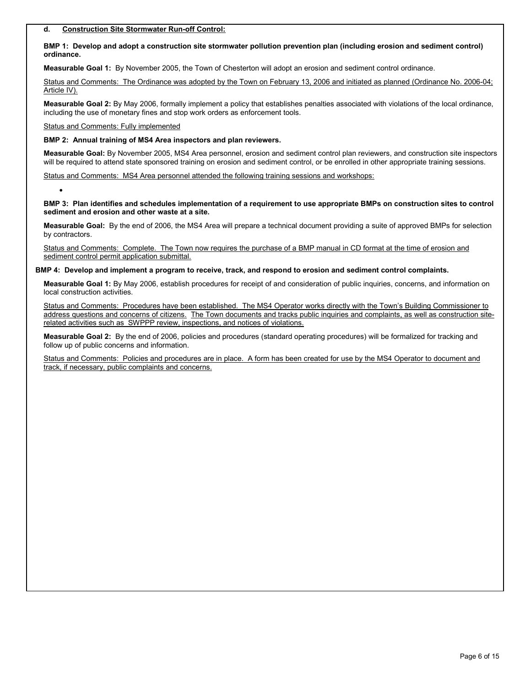#### **d. Construction Site Stormwater Run-off Control:**

**BMP 1: Develop and adopt a construction site stormwater pollution prevention plan (including erosion and sediment control) ordinance.** 

**Measurable Goal 1:** By November 2005, the Town of Chesterton will adopt an erosion and sediment control ordinance.

Status and Comments: The Ordinance was adopted by the Town on February 13, 2006 and initiated as planned (Ordinance No. 2006-04; Article IV).

**Measurable Goal 2:** By May 2006, formally implement a policy that establishes penalties associated with violations of the local ordinance, including the use of monetary fines and stop work orders as enforcement tools.

Status and Comments: Fully implemented

•

**BMP 2: Annual training of MS4 Area inspectors and plan reviewers.** 

**Measurable Goal:** By November 2005, MS4 Area personnel, erosion and sediment control plan reviewers, and construction site inspectors will be required to attend state sponsored training on erosion and sediment control, or be enrolled in other appropriate training sessions.

Status and Comments: MS4 Area personnel attended the following training sessions and workshops:

**BMP 3: Plan identifies and schedules implementation of a requirement to use appropriate BMPs on construction sites to control sediment and erosion and other waste at a site.** 

**Measurable Goal:** By the end of 2006, the MS4 Area will prepare a technical document providing a suite of approved BMPs for selection by contractors.

Status and Comments: Complete. The Town now requires the purchase of a BMP manual in CD format at the time of erosion and sediment control permit application submittal.

#### **BMP 4: Develop and implement a program to receive, track, and respond to erosion and sediment control complaints.**

**Measurable Goal 1:** By May 2006, establish procedures for receipt of and consideration of public inquiries, concerns, and information on local construction activities.

Status and Comments: Procedures have been established. The MS4 Operator works directly with the Town's Building Commissioner to address questions and concerns of citizens. The Town documents and tracks public inquiries and complaints, as well as construction siterelated activities such as SWPPP review, inspections, and notices of violations.

**Measurable Goal 2:** By the end of 2006, policies and procedures (standard operating procedures) will be formalized for tracking and follow up of public concerns and information.

Status and Comments: Policies and procedures are in place. A form has been created for use by the MS4 Operator to document and track, if necessary, public complaints and concerns.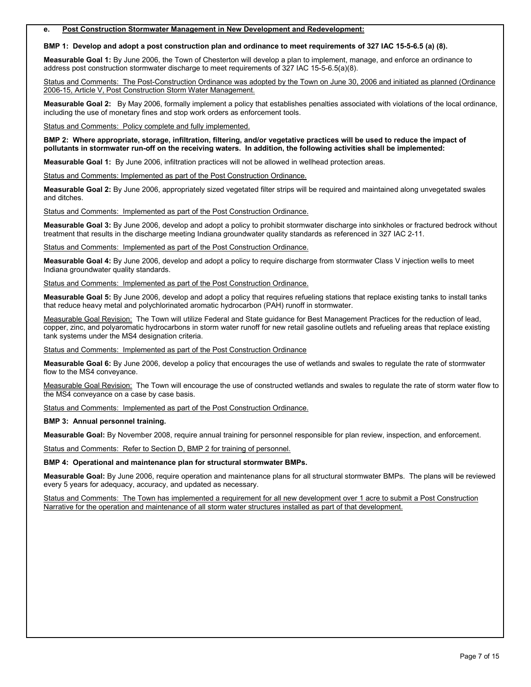## **e. Post Construction Stormwater Management in New Development and Redevelopment:**

## **BMP 1:** Develop and adopt a post construction plan and ordinance to meet requirements of 327 IAC 15-5-6.5 (a) (8).

**Measurable Goal 1:** By June 2006, the Town of Chesterton will develop a plan to implement, manage, and enforce an ordinance to address post construction stormwater discharge to meet requirements of 327 IAC 15-5-6.5(a)(8).

Status and Comments: The Post-Construction Ordinance was adopted by the Town on June 30, 2006 and initiated as planned (Ordinance 2006-15, Article V, Post Construction Storm Water Management.

**Measurable Goal 2:** By May 2006, formally implement a policy that establishes penalties associated with violations of the local ordinance, including the use of monetary fines and stop work orders as enforcement tools.

Status and Comments: Policy complete and fully implemented.

**BMP 2: Where appropriate, storage, infiltration, filtering, and/or vegetative practices will be used to reduce the impact of pollutants in stormwater run-off on the receiving waters. In addition, the following activities shall be implemented:** 

**Measurable Goal 1:** By June 2006, infiltration practices will not be allowed in wellhead protection areas.

Status and Comments: Implemented as part of the Post Construction Ordinance.

**Measurable Goal 2:** By June 2006, appropriately sized vegetated filter strips will be required and maintained along unvegetated swales and ditches.

Status and Comments: Implemented as part of the Post Construction Ordinance.

**Measurable Goal 3:** By June 2006, develop and adopt a policy to prohibit stormwater discharge into sinkholes or fractured bedrock without treatment that results in the discharge meeting Indiana groundwater quality standards as referenced in 327 IAC 2-11.

Status and Comments: Implemented as part of the Post Construction Ordinance.

**Measurable Goal 4:** By June 2006, develop and adopt a policy to require discharge from stormwater Class V injection wells to meet Indiana groundwater quality standards.

Status and Comments: Implemented as part of the Post Construction Ordinance.

**Measurable Goal 5:** By June 2006, develop and adopt a policy that requires refueling stations that replace existing tanks to install tanks that reduce heavy metal and polychlorinated aromatic hydrocarbon (PAH) runoff in stormwater.

Measurable Goal Revision: The Town will utilize Federal and State guidance for Best Management Practices for the reduction of lead, copper, zinc, and polyaromatic hydrocarbons in storm water runoff for new retail gasoline outlets and refueling areas that replace existing tank systems under the MS4 designation criteria.

Status and Comments: Implemented as part of the Post Construction Ordinance

**Measurable Goal 6:** By June 2006, develop a policy that encourages the use of wetlands and swales to regulate the rate of stormwater flow to the MS4 conveyance.

Measurable Goal Revision: The Town will encourage the use of constructed wetlands and swales to regulate the rate of storm water flow to the MS4 conveyance on a case by case basis.

Status and Comments: Implemented as part of the Post Construction Ordinance.

**BMP 3: Annual personnel training.** 

**Measurable Goal:** By November 2008, require annual training for personnel responsible for plan review, inspection, and enforcement.

Status and Comments: Refer to Section D, BMP 2 for training of personnel.

**BMP 4: Operational and maintenance plan for structural stormwater BMPs.** 

**Measurable Goal:** By June 2006, require operation and maintenance plans for all structural stormwater BMPs. The plans will be reviewed every 5 years for adequacy, accuracy, and updated as necessary.

Status and Comments: The Town has implemented a requirement for all new development over 1 acre to submit a Post Construction Narrative for the operation and maintenance of all storm water structures installed as part of that development.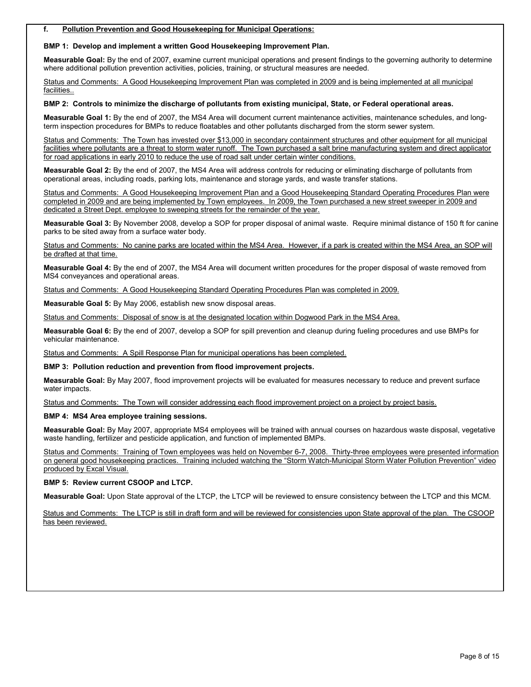#### **f. Pollution Prevention and Good Housekeeping for Municipal Operations:**

#### **BMP 1: Develop and implement a written Good Housekeeping Improvement Plan.**

**Measurable Goal:** By the end of 2007, examine current municipal operations and present findings to the governing authority to determine where additional pollution prevention activities, policies, training, or structural measures are needed.

Status and Comments: A Good Housekeeping Improvement Plan was completed in 2009 and is being implemented at all municipal facilities..

#### **BMP 2: Controls to minimize the discharge of pollutants from existing municipal, State, or Federal operational areas.**

**Measurable Goal 1:** By the end of 2007, the MS4 Area will document current maintenance activities, maintenance schedules, and longterm inspection procedures for BMPs to reduce floatables and other pollutants discharged from the storm sewer system.

Status and Comments: The Town has invested over \$13,000 in secondary containment structures and other equipment for all municipal facilities where pollutants are a threat to storm water runoff. The Town purchased a salt brine manufacturing system and direct applicator for road applications in early 2010 to reduce the use of road salt under certain winter conditions.

**Measurable Goal 2:** By the end of 2007, the MS4 Area will address controls for reducing or eliminating discharge of pollutants from operational areas, including roads, parking lots, maintenance and storage yards, and waste transfer stations.

Status and Comments: A Good Housekeeping Improvement Plan and a Good Housekeeping Standard Operating Procedures Plan were completed in 2009 and are being implemented by Town employees. In 2009, the Town purchased a new street sweeper in 2009 and dedicated a Street Dept. employee to sweeping streets for the remainder of the year.

**Measurable Goal 3:** By November 2008, develop a SOP for proper disposal of animal waste. Require minimal distance of 150 ft for canine parks to be sited away from a surface water body.

Status and Comments: No canine parks are located within the MS4 Area. However, if a park is created within the MS4 Area, an SOP will be drafted at that time.

**Measurable Goal 4:** By the end of 2007, the MS4 Area will document written procedures for the proper disposal of waste removed from MS4 conveyances and operational areas.

Status and Comments: A Good Housekeeping Standard Operating Procedures Plan was completed in 2009.

**Measurable Goal 5:** By May 2006, establish new snow disposal areas.

Status and Comments: Disposal of snow is at the designated location within Dogwood Park in the MS4 Area.

**Measurable Goal 6:** By the end of 2007, develop a SOP for spill prevention and cleanup during fueling procedures and use BMPs for vehicular maintenance.

Status and Comments: A Spill Response Plan for municipal operations has been completed.

**BMP 3: Pollution reduction and prevention from flood improvement projects.** 

**Measurable Goal:** By May 2007, flood improvement projects will be evaluated for measures necessary to reduce and prevent surface water impacts.

Status and Comments: The Town will consider addressing each flood improvement project on a project by project basis.

## **BMP 4: MS4 Area employee training sessions.**

**Measurable Goal:** By May 2007, appropriate MS4 employees will be trained with annual courses on hazardous waste disposal, vegetative waste handling, fertilizer and pesticide application, and function of implemented BMPs.

Status and Comments: Training of Town employees was held on November 6-7, 2008. Thirty-three employees were presented information on general good housekeeping practices. Training included watching the "Storm Watch-Municipal Storm Water Pollution Prevention" video produced by Excal Visual.

## **BMP 5: Review current CSOOP and LTCP.**

**Measurable Goal:** Upon State approval of the LTCP, the LTCP will be reviewed to ensure consistency between the LTCP and this MCM.

Status and Comments: The LTCP is still in draft form and will be reviewed for consistencies upon State approval of the plan. The CSOOP has been reviewed.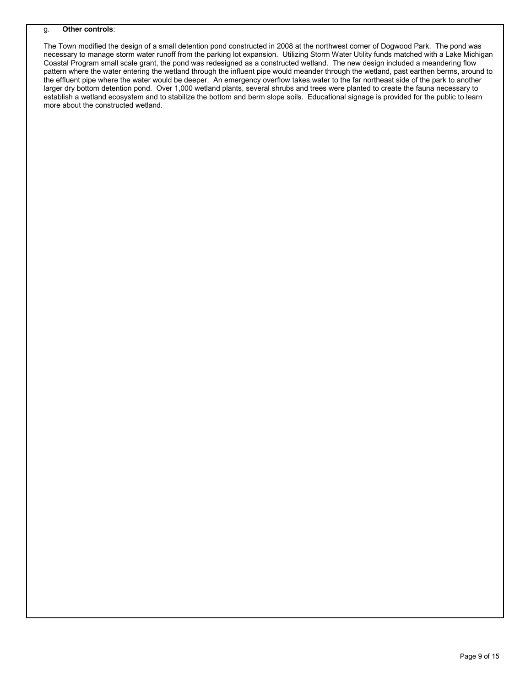## g. **Other controls**:

The Town modified the design of a small detention pond constructed in 2008 at the northwest corner of Dogwood Park. The pond was necessary to manage storm water runoff from the parking lot expansion. Utilizing Storm Water Utility funds matched with a Lake Michigan Coastal Program small scale grant, the pond was redesigned as a constructed wetland. The new design included a meandering flow pattern where the water entering the wetland through the influent pipe would meander through the wetland, past earthen berms, around to the effluent pipe where the water would be deeper. An emergency overflow takes water to the far northeast side of the park to another larger dry bottom detention pond. Over 1,000 wetland plants, several shrubs and trees were planted to create the fauna necessary to establish a wetland ecosystem and to stabilize the bottom and berm slope soils. Educational signage is provided for the public to learn more about the constructed wetland.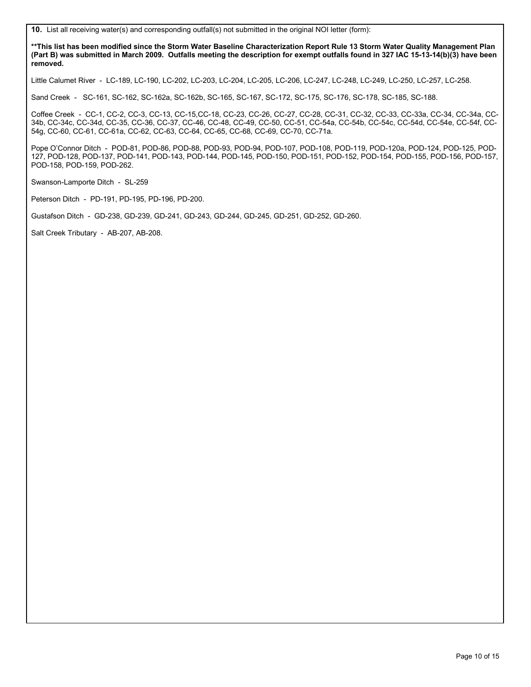**10.** List all receiving water(s) and corresponding outfall(s) not submitted in the original NOI letter (form):

**\*\*This list has been modified since the Storm Water Baseline Characterization Report Rule 13 Storm Water Quality Management Plan (Part B) was submitted in March 2009. Outfalls meeting the description for exempt outfalls found in 327 IAC 15-13-14(b)(3) have been removed.** 

Little Calumet River - LC-189, LC-190, LC-202, LC-203, LC-204, LC-205, LC-206, LC-247, LC-248, LC-249, LC-250, LC-257, LC-258.

Sand Creek - SC-161, SC-162, SC-162a, SC-162b, SC-165, SC-167, SC-172, SC-175, SC-176, SC-178, SC-185, SC-188.

Coffee Creek - CC-1, CC-2, CC-3, CC-13, CC-15,CC-18, CC-23, CC-26, CC-27, CC-28, CC-31, CC-32, CC-33, CC-33a, CC-34, CC-34a, CC-34b, CC-34c, CC-34d, CC-35, CC-36, CC-37, CC-46, CC-48, CC-49, CC-50, CC-51, CC-54a, CC-54b, CC-54c, CC-54d, CC-54e, CC-54f, CC-54g, CC-60, CC-61, CC-61a, CC-62, CC-63, CC-64, CC-65, CC-68, CC-69, CC-70, CC-71a.

Pope O'Connor Ditch - POD-81, POD-86, POD-88, POD-93, POD-94, POD-107, POD-108, POD-119, POD-120a, POD-124, POD-125, POD-127, POD-128, POD-137, POD-141, POD-143, POD-144, POD-145, POD-150, POD-151, POD-152, POD-154, POD-155, POD-156, POD-157, POD-158, POD-159, POD-262.

Swanson-Lamporte Ditch - SL-259

Peterson Ditch - PD-191, PD-195, PD-196, PD-200.

Gustafson Ditch - GD-238, GD-239, GD-241, GD-243, GD-244, GD-245, GD-251, GD-252, GD-260.

Salt Creek Tributary - AB-207, AB-208.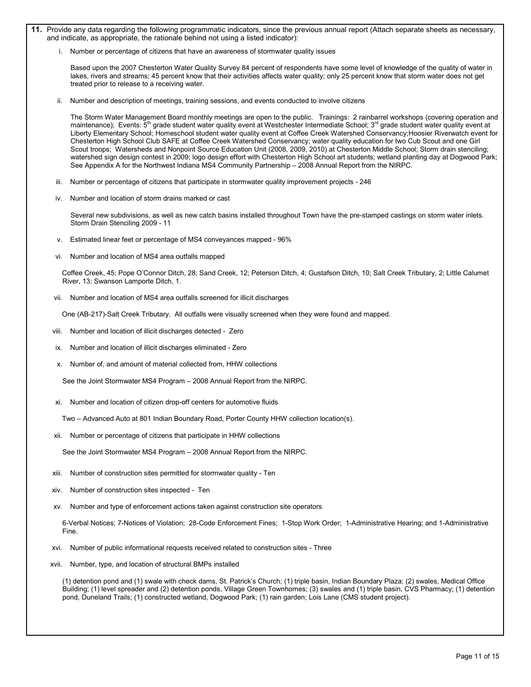**11.** Provide any data regarding the following programmatic indicators, since the previous annual report (Attach separate sheets as necessary, and indicate, as appropriate, the rationale behind not using a listed indicator):

i. Number or percentage of citizens that have an awareness of stormwater quality issues

Based upon the 2007 Chesterton Water Quality Survey 84 percent of respondents have some level of knowledge of the quality of water in lakes, rivers and streams; 45 percent know that their activities affects water quality; only 25 percent know that storm water does not get treated prior to release to a receiving water.

ii. Number and description of meetings, training sessions, and events conducted to involve citizens

The Storm Water Management Board monthly meetings are open to the public. Trainings: 2 rainbarrel workshops (covering operation and maintenance); Events:  $5<sup>th</sup>$  grade student water quality event at Westchester Intermediate School;  $3<sup>rd</sup>$  grade student water quality event at Liberty Elementary School; Homeschool student water quality event at Coffee Creek Watershed Conservancy;Hoosier Riverwatch event for Chesterton High School Club SAFE at Coffee Creek Watershed Conservancy; water quality education for two Cub Scout and one Girl Scout troops; Watersheds and Nonpoint Source Education Unit (2008, 2009, 2010) at Chesterton Middle School; Storm drain stenciling; watershed sign design contest in 2009; logo design effort with Chesterton High School art students; wetland planting day at Dogwood Park; See Appendix A for the Northwest Indiana MS4 Community Partnership – 2008 Annual Report from the NIRPC.

- iii. Number or percentage of citizens that participate in stormwater quality improvement projects 246
- iv. Number and location of storm drains marked or cast

Several new subdivisions, as well as new catch basins installed throughout Town have the pre-stamped castings on storm water inlets. Storm Drain Stenciling 2009 - 11

- v. Estimated linear feet or percentage of MS4 conveyances mapped 96%
- vi. Number and location of MS4 area outfalls mapped

 Coffee Creek, 45; Pope O'Connor Ditch, 28; Sand Creek, 12; Peterson Ditch, 4; Gustafson Ditch, 10; Salt Creek Tributary, 2; Little Calumet River, 13; Swanson Lamporte Ditch, 1.

vii. Number and location of MS4 area outfalls screened for illicit discharges

One (AB-217)-Salt Creek Tributary. All outfalls were visually screened when they were found and mapped.

- viii. Number and location of illicit discharges detected Zero
- ix. Number and location of illicit discharges eliminated Zero
- x. Number of, and amount of material collected from, HHW collections

See the Joint Stormwater MS4 Program – 2008 Annual Report from the NIRPC.

xi. Number and location of citizen drop-off centers for automotive fluids

Two – Advanced Auto at 801 Indian Boundary Road, Porter County HHW collection location(s).

xii. Number or percentage of citizens that participate in HHW collections

See the Joint Stormwater MS4 Program – 2008 Annual Report from the NIRPC.

- xiii. Number of construction sites permitted for stormwater quality Ten
- xiv. Number of construction sites inspected Ten
- xv. Number and type of enforcement actions taken against construction site operators

6-Verbal Notices; 7-Notices of Violation; 28-Code Enforcement Fines; 1-Stop Work Order; 1-Administrative Hearing; and 1-Administrative Fine.

- xvi. Number of public informational requests received related to construction sites Three
- xvii. Number, type, and location of structural BMPs installed

(1) detention pond and (1) swale with check dams, St. Patrick's Church; (1) triple basin, Indian Boundary Plaza; (2) swales, Medical Office Building; (1) level spreader and (2) detention ponds, Village Green Townhomes; (3) swales and (1) triple basin, CVS Pharmacy; (1) detention pond, Duneland Trails; (1) constructed wetland, Dogwood Park; (1) rain garden; Lois Lane (CMS student project).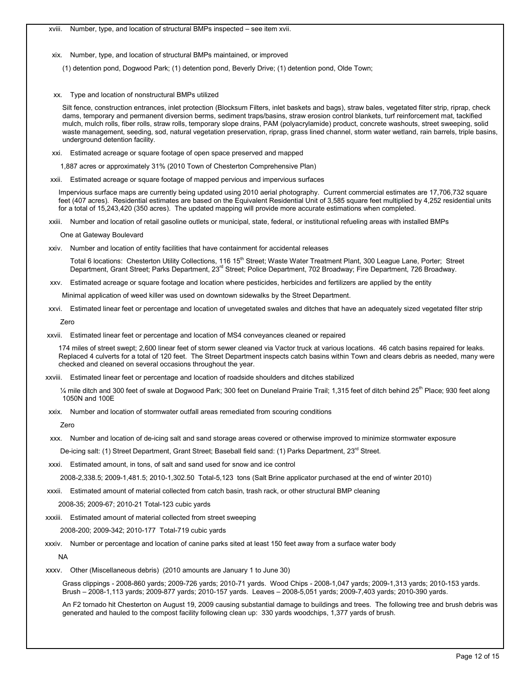- xix. Number, type, and location of structural BMPs maintained, or improved
	- (1) detention pond, Dogwood Park; (1) detention pond, Beverly Drive; (1) detention pond, Olde Town;
- xx. Type and location of nonstructural BMPs utilized

 Silt fence, construction entrances, inlet protection (Blocksum Filters, inlet baskets and bags), straw bales, vegetated filter strip, riprap, check dams, temporary and permanent diversion berms, sediment traps/basins, straw erosion control blankets, turf reinforcement mat, tackified mulch, mulch rolls, fiber rolls, straw rolls, temporary slope drains, PAM (polyacrylamide) product, concrete washouts, street sweeping, solid waste management, seeding, sod, natural vegetation preservation, riprap, grass lined channel, storm water wetland, rain barrels, triple basins, underground detention facility.

xxi. Estimated acreage or square footage of open space preserved and mapped

1,887 acres or approximately 31% (2010 Town of Chesterton Comprehensive Plan)

xxii. Estimated acreage or square footage of mapped pervious and impervious surfaces

Impervious surface maps are currently being updated using 2010 aerial photography. Current commercial estimates are 17,706,732 square feet (407 acres). Residential estimates are based on the Equivalent Residential Unit of 3,585 square feet multiplied by 4,252 residential units for a total of 15,243,420 (350 acres). The updated mapping will provide more accurate estimations when completed.

xxiii. Number and location of retail gasoline outlets or municipal, state, federal, or institutional refueling areas with installed BMPs

One at Gateway Boulevard

xxiv. Number and location of entity facilities that have containment for accidental releases

Total 6 locations: Chesterton Utility Collections, 116 15<sup>th</sup> Street; Waste Water Treatment Plant, 300 League Lane, Porter; Street Department, Grant Street; Parks Department, 23<sup>rd</sup> Street; Police Department, 702 Broadway; Fire Department, 726 Broadway.

xxv. Estimated acreage or square footage and location where pesticides, herbicides and fertilizers are applied by the entity

Minimal application of weed killer was used on downtown sidewalks by the Street Department.

xxvi. Estimated linear feet or percentage and location of unvegetated swales and ditches that have an adequately sized vegetated filter strip

Zero

xxvii. Estimated linear feet or percentage and location of MS4 conveyances cleaned or repaired

 174 miles of street swept; 2,600 linear feet of storm sewer cleaned via Vactor truck at various locations. 46 catch basins repaired for leaks. Replaced 4 culverts for a total of 120 feet. The Street Department inspects catch basins within Town and clears debris as needed, many were checked and cleaned on several occasions throughout the year.

- xxviii. Estimated linear feet or percentage and location of roadside shoulders and ditches stabilized
	- 1/4 mile ditch and 300 feet of swale at Dogwood Park; 300 feet on Duneland Prairie Trail; 1,315 feet of ditch behind 25<sup>th</sup> Place; 930 feet along 1050N and 100E
- xxix. Number and location of stormwater outfall areas remediated from scouring conditions

Zero

xxx. Number and location of de-icing salt and sand storage areas covered or otherwise improved to minimize stormwater exposure

De-icing salt: (1) Street Department, Grant Street; Baseball field sand: (1) Parks Department, 23<sup>rd</sup> Street.

xxxi. Estimated amount, in tons, of salt and sand used for snow and ice control

2008-2,338.5; 2009-1,481.5; 2010-1,302.50 Total-5,123 tons (Salt Brine applicator purchased at the end of winter 2010)

xxxii. Estimated amount of material collected from catch basin, trash rack, or other structural BMP cleaning

2008-35; 2009-67; 2010-21 Total-123 cubic yards

xxxiii. Estimated amount of material collected from street sweeping

2008-200; 2009-342; 2010-177 Total-719 cubic yards

xxxiv. Number or percentage and location of canine parks sited at least 150 feet away from a surface water body

NA

xxxv. Other (Miscellaneous debris) (2010 amounts are January 1 to June 30)

Grass clippings - 2008-860 yards; 2009-726 yards; 2010-71 yards. Wood Chips - 2008-1,047 yards; 2009-1,313 yards; 2010-153 yards. Brush – 2008-1,113 yards; 2009-877 yards; 2010-157 yards. Leaves – 2008-5,051 yards; 2009-7,403 yards; 2010-390 yards.

An F2 tornado hit Chesterton on August 19, 2009 causing substantial damage to buildings and trees. The following tree and brush debris was generated and hauled to the compost facility following clean up: 330 yards woodchips, 1,377 yards of brush.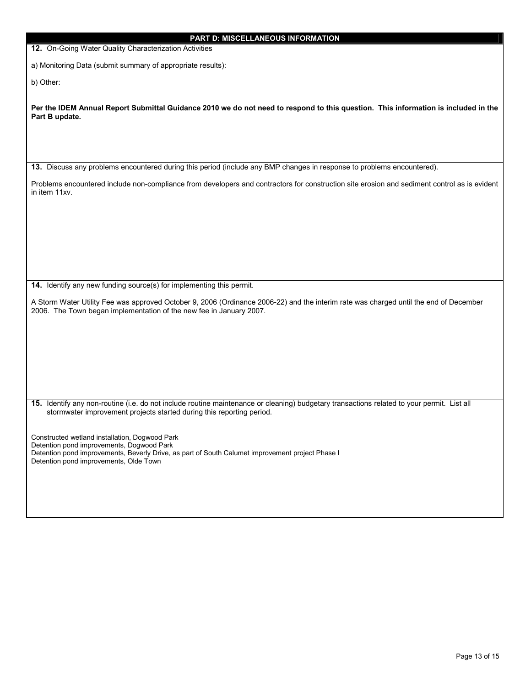| PART D: MISCELLANEOUS INFORMATION                                                                                                                                                                            |  |  |  |  |  |
|--------------------------------------------------------------------------------------------------------------------------------------------------------------------------------------------------------------|--|--|--|--|--|
| 12. On-Going Water Quality Characterization Activities                                                                                                                                                       |  |  |  |  |  |
| a) Monitoring Data (submit summary of appropriate results):                                                                                                                                                  |  |  |  |  |  |
| b) Other:                                                                                                                                                                                                    |  |  |  |  |  |
|                                                                                                                                                                                                              |  |  |  |  |  |
| Per the IDEM Annual Report Submittal Guidance 2010 we do not need to respond to this question. This information is included in the<br>Part B update.                                                         |  |  |  |  |  |
|                                                                                                                                                                                                              |  |  |  |  |  |
|                                                                                                                                                                                                              |  |  |  |  |  |
| 13. Discuss any problems encountered during this period (include any BMP changes in response to problems encountered).                                                                                       |  |  |  |  |  |
| Problems encountered include non-compliance from developers and contractors for construction site erosion and sediment control as is evident                                                                 |  |  |  |  |  |
| in item 11xv.                                                                                                                                                                                                |  |  |  |  |  |
|                                                                                                                                                                                                              |  |  |  |  |  |
|                                                                                                                                                                                                              |  |  |  |  |  |
|                                                                                                                                                                                                              |  |  |  |  |  |
|                                                                                                                                                                                                              |  |  |  |  |  |
|                                                                                                                                                                                                              |  |  |  |  |  |
| 14. Identify any new funding source(s) for implementing this permit.                                                                                                                                         |  |  |  |  |  |
| A Storm Water Utility Fee was approved October 9, 2006 (Ordinance 2006-22) and the interim rate was charged until the end of December<br>2006. The Town began implementation of the new fee in January 2007. |  |  |  |  |  |
|                                                                                                                                                                                                              |  |  |  |  |  |
|                                                                                                                                                                                                              |  |  |  |  |  |
|                                                                                                                                                                                                              |  |  |  |  |  |
|                                                                                                                                                                                                              |  |  |  |  |  |
|                                                                                                                                                                                                              |  |  |  |  |  |
| 15. Identify any non-routine (i.e. do not include routine maintenance or cleaning) budgetary transactions related to your permit. List all                                                                   |  |  |  |  |  |
| stormwater improvement projects started during this reporting period.                                                                                                                                        |  |  |  |  |  |
| Constructed wetland installation, Dogwood Park                                                                                                                                                               |  |  |  |  |  |
| Detention pond improvements, Dogwood Park<br>Detention pond improvements, Beverly Drive, as part of South Calumet improvement project Phase I                                                                |  |  |  |  |  |
| Detention pond improvements, Olde Town                                                                                                                                                                       |  |  |  |  |  |
|                                                                                                                                                                                                              |  |  |  |  |  |
|                                                                                                                                                                                                              |  |  |  |  |  |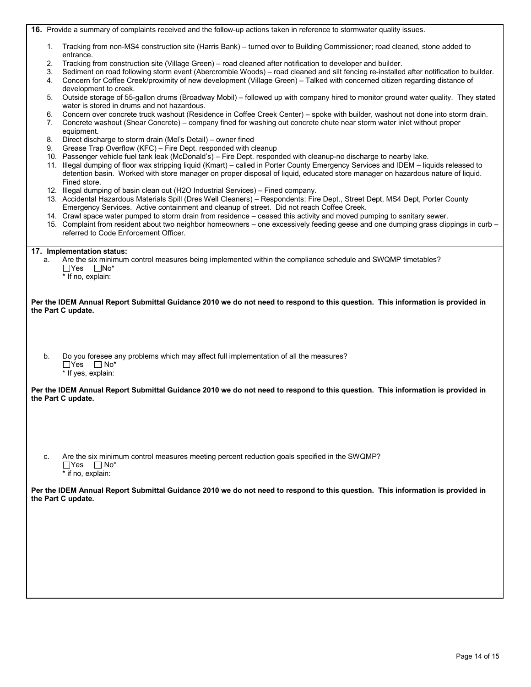**16.** Provide a summary of complaints received and the follow-up actions taken in reference to stormwater quality issues.

- 1. Tracking from non-MS4 construction site (Harris Bank) turned over to Building Commissioner; road cleaned, stone added to entrance.
- 2. Tracking from construction site (Village Green) road cleaned after notification to developer and builder.
- 3. Sediment on road following storm event (Abercrombie Woods) road cleaned and silt fencing re-installed after notification to builder.
- 4. Concern for Coffee Creek/proximity of new development (Village Green) Talked with concerned citizen regarding distance of development to creek.
- 5. Outside storage of 55-gallon drums (Broadway Mobil) followed up with company hired to monitor ground water quality. They stated water is stored in drums and not hazardous.
- 6. Concern over concrete truck washout (Residence in Coffee Creek Center) spoke with builder, washout not done into storm drain. 7. Concrete washout (Shear Concrete) – company fined for washing out concrete chute near storm water inlet without proper
- equipment.
- 8. Direct discharge to storm drain (Mel's Detail) owner fined
- 9. Grease Trap Overflow (KFC) Fire Dept. responded with cleanup
- 10. Passenger vehicle fuel tank leak (McDonald's) Fire Dept. responded with cleanup-no discharge to nearby lake.
- 11. Illegal dumping of floor wax stripping liquid (Kmart) called in Porter County Emergency Services and IDEM liquids released to detention basin. Worked with store manager on proper disposal of liquid, educated store manager on hazardous nature of liquid. Fined store.
- 12. Illegal dumping of basin clean out (H2O Industrial Services) Fined company.
- 13. Accidental Hazardous Materials Spill (Dres Well Cleaners) Respondents: Fire Dept., Street Dept, MS4 Dept, Porter County Emergency Services. Active containment and cleanup of street. Did not reach Coffee Creek.
- 14. Crawl space water pumped to storm drain from residence ceased this activity and moved pumping to sanitary sewer.
- 15. Complaint from resident about two neighbor homeowners one excessively feeding geese and one dumping grass clippings in curb referred to Code Enforcement Officer.

## **17. Implementation status:**

- a. Are the six minimum control measures being implemented within the compliance schedule and SWQMP timetables?  $\Box$ Yes  $\Box$ No\*
	- \* If no, explain:

**Per the IDEM Annual Report Submittal Guidance 2010 we do not need to respond to this question. This information is provided in the Part C update.** 

b. Do you foresee any problems which may affect full implementation of all the measures?  $\Box$ Yes  $\Box$  No\* \* If yes, explain:

**Per the IDEM Annual Report Submittal Guidance 2010 we do not need to respond to this question. This information is provided in the Part C update.** 

c. Are the six minimum control measures meeting percent reduction goals specified in the SWQMP?  $\Box$ Yes  $\Box$  No\* \* if no, explain:

**Per the IDEM Annual Report Submittal Guidance 2010 we do not need to respond to this question. This information is provided in the Part C update.**